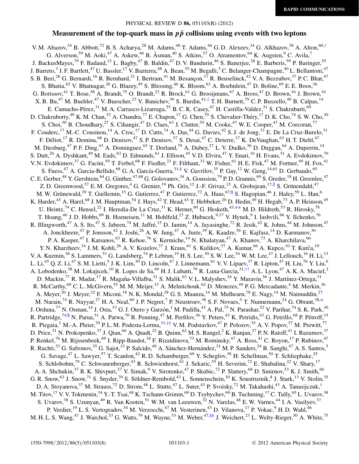### Measurement of the top-quark mass in  $p\bar{p}$  collisions using events with two leptons

<span id="page-0-6"></span><span id="page-0-5"></span><span id="page-0-4"></span><span id="page-0-3"></span><span id="page-0-2"></span><span id="page-0-1"></span><span id="page-0-0"></span>V. M. Abazov,  $34$  B. Abbott,  $72$  B. S. Acharya,  $28$  M. Adams,  $48$  T. Adams,  $46$  G. D. Alexeev,  $34$  G. Alkhazov,  $38$  A. Alton,  $60, \dagger$ G. Alverson,<sup>59</sup> M. Aoki,<sup>47</sup> A. Askew,<sup>46</sup> B. Åsman,<sup>40</sup> S. Atkins,<sup>57</sup> O. Atramentov,<sup>64</sup> K. Augsten,<sup>9</sup> C. Avila,<sup>7</sup> J. BackusMayes,<sup>79</sup> F. Badaud,<sup>12</sup> L. Bagby,<sup>47</sup> B. Baldin,<sup>47</sup> D. V. Bandurin,<sup>46</sup> S. Banerjee,<sup>28</sup> E. Barberis,<sup>59</sup> P. Baringer,<sup>55</sup> J. Barreto,<sup>3</sup> J. F. Bartlett,<sup>47</sup> U. Bassler,<sup>17</sup> V. Bazterra,<sup>48</sup> A. Bean,<sup>55</sup> M. Begalli,<sup>3</sup> C. Belanger-Champagne,<sup>40</sup> L. Bellantoni,<sup>47</sup> S. B. Beri,<sup>26</sup> G. Bernardi,<sup>16</sup> R. Bernhard,<sup>21</sup> I. Bertram,<sup>41</sup> M. Besançon,<sup>17</sup> R. Beuselinck,<sup>42</sup> V. A. Bezzubov,<sup>37</sup> P. C. Bhat,<sup>47</sup> S. Bhatia, <sup>62</sup> V. Bhatnagar, <sup>26</sup> G. Blazey, <sup>49</sup> S. Blessing, <sup>46</sup> K. Bloom, <sup>63</sup> A. Boehnlein, <sup>47</sup> D. Boline, <sup>69</sup> E. E. Boos, <sup>36</sup> G. Borissov,<sup>41</sup> T. Bose,<sup>58</sup> A. Brandt,<sup>75</sup> O. Brandt,<sup>22</sup> R. Brock,<sup>61</sup> G. Brooijmans,<sup>67</sup> A. Bross,<sup>47</sup> D. Brown,<sup>16</sup> J. Brown,<sup>16</sup> X. B. Bu,<sup>47</sup> M. Buehler,<sup>47</sup> V. Buescher,<sup>23</sup> V. Bunichev,<sup>36</sup> S. Burdin,<sup>41[,‡](#page-2-1)</sup> T. H. Burnett,<sup>79</sup> C. P. Buszello,<sup>40</sup> B. Calpas,<sup>14</sup> E. Camacho-Pérez,<sup>31</sup> M. A. Carrasco-Lizarraga,<sup>55</sup> B. C. K. Casey,<sup>47</sup> H. Castilla-Valdez,<sup>31</sup> S. Chakrabarti,<sup>69</sup> D. Chakraborty,<sup>49</sup> K. M. Chan,<sup>53</sup> A. Chandra,<sup>77</sup> E. Chapon,<sup>17</sup> G. Chen,<sup>55</sup> S. Chevalier-Théry,<sup>17</sup> D. K. Cho,<sup>74</sup> S. W. Cho,<sup>30</sup> S. Choi,<sup>30</sup> B. Choudhary,<sup>27</sup> S. Cihangir,<sup>47</sup> D. Claes,<sup>63</sup> J. Clutter,<sup>55</sup> M. Cooke,<sup>47</sup> W. E. Cooper,<sup>47</sup> M. Corcoran,<sup>77</sup> F. Couderc,<sup>17</sup> M.-C. Cousinou,<sup>14</sup> A. Croc,<sup>17</sup> D. Cutts,<sup>74</sup> A. Das,<sup>44</sup> G. Davies,<sup>42</sup> S. J. de Jong,<sup>33</sup> E. De La Cruz-Burelo,<sup>31</sup> F. Déliot,<sup>17</sup> R. Demina,<sup>68</sup> D. Denisov,<sup>47</sup> S. P. Denisov,<sup>37</sup> S. Desai,<sup>47</sup> C. Deterre,<sup>17</sup> K. DeVaughan,<sup>63</sup> H. T. Diehl,<sup>47</sup> M. Diesburg,<sup>47</sup> P. F. Ding,<sup>43</sup> A. Dominguez,<sup>63</sup> T. Dorland,<sup>79</sup> A. Dubey,<sup>27</sup> L. V. Dudko,<sup>36</sup> D. Duggan,<sup>64</sup> A. Duperrin,<sup>14</sup> S. Dutt,<sup>26</sup> A. Dyshkant,<sup>49</sup> M. Eads,<sup>63</sup> D. Edmunds,<sup>61</sup> J. Ellison,<sup>45</sup> V. D. Elvira,<sup>47</sup> Y. Enari,<sup>16</sup> H. Evans,<sup>51</sup> A. Evdokimov,<sup>70</sup> V. N. Evdokimov,<sup>37</sup> G. Facini,<sup>59</sup> T. Ferbel,<sup>68</sup> F. Fiedler,<sup>23</sup> F. Filthaut,<sup>33</sup> W. Fisher,<sup>61</sup> H. E. Fisk,<sup>47</sup> M. Fortner,<sup>49</sup> H. Fox,<sup>41</sup> S. Fuess,<sup>47</sup> A. Garcia-Bellido,<sup>68</sup> G. A. García-Guerra,<sup>31[,§](#page-2-2)</sup> V. Gavrilov,<sup>35</sup> P. Gay,<sup>12</sup> W. Geng,<sup>14,61</sup> D. Gerbaudo,<sup>65</sup> C. E. Gerber,  $^{48}$  Y. Gershtein,  $^{64}$  G. Ginther,  $^{47,68}$  G. Golovanov,  $^{34}$  A. Goussiou,  $^{79}$  P. D. Grannis,  $^{69}$  S. Greder,  $^{18}$  H. Greenlee,  $^{47}$ Z. D. Greenwood,<sup>57</sup> E. M. Gregores,<sup>4</sup> G. Grenier,<sup>19</sup> Ph. Gris,<sup>12</sup> J.-F. Grivaz,<sup>15</sup> A. Grohsjean,<sup>17,||</sup> S. Grünendahl,<sup>47</sup> M. W. Grünewald,<sup>29</sup> T. Guillemin,<sup>15</sup> G. Gutierrez,<sup>47</sup> P. Gutierrez,<sup>72</sup> A. Haas, <sup>67,¶</sup> S. Hagopian,<sup>46</sup> J. Haley,<sup>59</sup> L. Han,<sup>6</sup> K. Harder,<sup>43</sup> A. Harel,<sup>68</sup> J. M. Hauptman,<sup>54</sup> J. Hays,<sup>42</sup> T. Head,<sup>43</sup> T. Hebbeker,<sup>20</sup> D. Hedin,<sup>49</sup> H. Hegab,<sup>73</sup> A. P. Heinson,<sup>45</sup> U. Heintz,<sup>74</sup> C. Hensel,<sup>22</sup> I. Heredia-De La Cruz,<sup>31</sup> K. Herner,<sup>60</sup> G. Hesketh,<sup>43,\*\*</sup> M. D. Hildreth,<sup>53</sup> R. Hirosky,<sup>78</sup> T. Hoang,<sup>46</sup> J. D. Hobbs,<sup>69</sup> B. Hoeneisen,<sup>11</sup> M. Hohlfeld,<sup>23</sup> Z. Hubacek,<sup>9,17</sup> V. Hynek,<sup>9</sup> I. Iashvili,<sup>66</sup> Y. Ilchenko,<sup>76</sup> R. Illingworth,<sup>47</sup> A. S. Ito,<sup>47</sup> S. Jabeen,<sup>74</sup> M. Jaffré,<sup>15</sup> D. Jamin,<sup>14</sup> A. Jayasinghe,<sup>72</sup> R. Jesik,<sup>42</sup> K. Johns,<sup>44</sup> M. Johnson,<sup>47</sup> A. Jonckheere,<sup>47</sup> P. Jonsson,<sup>42</sup> J. Joshi,<sup>26</sup> A. W. Jung,<sup>47</sup> A. Juste,<sup>39</sup> K. Kaadze,<sup>56</sup> E. Kajfasz,<sup>14</sup> D. Karmanov,<sup>36</sup> P. A. Kasper,<sup>47</sup> I. Katsanos,<sup>63</sup> R. Kehoe,<sup>76</sup> S. Kermiche,<sup>14</sup> N. Khalatyan,<sup>47</sup> A. Khanov,<sup>73</sup> A. Kharchilava,<sup>66</sup> Y. N. Kharzheev,<sup>34</sup> J. M. Kohli,<sup>26</sup> A. V. Kozelov,<sup>37</sup> J. Kraus,<sup>61</sup> S. Kulikov,<sup>37</sup> A. Kumar,<sup>66</sup> A. Kupco,<sup>10</sup> T. Kurča,<sup>19</sup> V. A. Kuzmin,<sup>36</sup> S. Lammers,<sup>51</sup> G. Landsberg,<sup>74</sup> P. Lebrun,<sup>19</sup> H. S. Lee,<sup>30</sup> S. W. Lee,<sup>54</sup> W. M. Lee,<sup>47</sup> J. Lellouch,<sup>16</sup> H. Li,<sup>13</sup> L. Li,<sup>45</sup> Q. Z. Li,<sup>47</sup> S. M. Lietti,<sup>5</sup> J. K. Lim,<sup>30</sup> D. Lincoln,<sup>47</sup> J. Linnemann,<sup>61</sup> V. V. Lipaev,<sup>37</sup> R. Lipton,<sup>47</sup> H. Liu,<sup>76</sup> Y. Liu,<sup>6</sup> A. Lobodenko,<sup>38</sup> M. Lokajicek,<sup>10</sup> R. Lopes de Sa,<sup>69</sup> H. J. Lubatti,<sup>79</sup> R. Luna-Garcia,<sup>31,[††](#page-2-3)</sup> A. L. Lyon,<sup>47</sup> A. K. A. Maciel,<sup>2</sup> D. Mackin,<sup>77</sup> R. Madar,<sup>17</sup> R. Magaña-Villalba,<sup>31</sup> S. Malik,<sup>63</sup> V. L. Malyshev,<sup>34</sup> Y. Maravin,<sup>56</sup> J. Martínez-Ortega,<sup>31</sup> R. McCarthy,<sup>69</sup> C. L. McGivern,<sup>55</sup> M. M. Meijer,<sup>33</sup> A. Melnitchouk,<sup>62</sup> D. Menezes,<sup>49</sup> P. G. Mercadante,<sup>4</sup> M. Merkin,<sup>36</sup> A. Meyer,<sup>20</sup> J. Meyer,<sup>22</sup> F. Miconi,<sup>18</sup> N. K. Mondal,<sup>28</sup> G. S. Muanza,<sup>14</sup> M. Mulhearn,<sup>78</sup> E. Nagy,<sup>14</sup> M. Naimuddin,<sup>27</sup> M. Narain,<sup>74</sup> R. Nayyar,<sup>27</sup> H. A. Neal,<sup>60</sup> J. P. Negret,<sup>7</sup> P. Neustroev,<sup>38</sup> S. F. Novaes,<sup>5</sup> T. Nunnemann,<sup>24</sup> G. Obrant,<sup>38,[\\*](#page-2-4)</sup> J. Orduna,<sup>77</sup> N. Osman,<sup>14</sup> J. Osta,<sup>53</sup> G. J. Otero y Garzón,<sup>1</sup> M. Padilla,<sup>45</sup> A. Pal,<sup>75</sup> N. Parashar,<sup>52</sup> V. Parihar,<sup>74</sup> S. K. Park,<sup>30</sup> R. Partridge,<sup>74,¶</sup> N. Parua,<sup>51</sup> A. Patwa,<sup>70</sup> B. Penning,<sup>47</sup> M. Perfilov,<sup>36</sup> Y. Peters,<sup>43</sup> K. Petridis,<sup>43</sup> G. Petrillo,<sup>68</sup> P. Pétroff,<sup>15</sup> R. Piegaia,<sup>1</sup> M.-A. Pleier,<sup>70</sup> P. L. M. Podesta-Lerma,<sup>31[,‡‡](#page-2-5)</sup> V. M. Podstavkov,<sup>47</sup> P. Polozov,<sup>35</sup> A. V. Popov,<sup>37</sup> M. Prewitt,<sup>77</sup> D. Price,<sup>51</sup> N. Prokopenko,<sup>37</sup> J. Qian,<sup>60</sup> A. Quadt,<sup>22</sup> B. Quinn,<sup>62</sup> M. S. Rangel,<sup>2</sup> K. Ranjan,<sup>27</sup> P. N. Ratoff,<sup>41</sup> I. Razumov,<sup>37</sup> P. Renkel,<sup>76</sup> M. Rijssenbeek,<sup>69</sup> I. Ripp-Baudot,<sup>18</sup> F. Rizatdinova,<sup>73</sup> M. Rominsky,<sup>47</sup> A. Ross,<sup>41</sup> C. Royon,<sup>17</sup> P. Rubinov,<sup>47</sup> R. Ruchti,<sup>53</sup> G. Safronov,<sup>35</sup> G. Sajot,<sup>13</sup> P. Salcido,<sup>49</sup> A. Sánchez-Hernández,<sup>31</sup> M. P. Sanders,<sup>24</sup> B. Sanghi,<sup>47</sup> A. S. Santos,<sup>5</sup> G. Savage,<sup>47</sup> L. Sawyer,<sup>57</sup> T. Scanlon,<sup>42</sup> R. D. Schamberger,<sup>69</sup> Y. Scheglov,<sup>38</sup> H. Schellman,<sup>50</sup> T. Schliephake,<sup>25</sup> S. Schlobohm,<sup>79</sup> C. Schwanenberger,<sup>43</sup> R. Schwienhorst,<sup>61</sup> J. Sekaric,<sup>55</sup> H. Severini,<sup>72</sup> E. Shabalina,<sup>22</sup> V. Shary,<sup>17</sup> A. A. Shchukin,<sup>37</sup> R. K. Shivpuri,<sup>27</sup> V. Simak,<sup>9</sup> V. Sirotenko,<sup>47</sup> P. Skubic,<sup>72</sup> P. Slattery,<sup>68</sup> D. Smirnov,<sup>53</sup> K. J. Smith,<sup>66</sup> G. R. Snow,<sup>63</sup> J. Snow,<sup>71</sup> S. Snyder,<sup>70</sup> S. Söldner-Rembold,<sup>43</sup> L. Sonnenschein,<sup>20</sup> K. Soustruznik,<sup>8</sup> J. Stark,<sup>13</sup> V. Stolin,<sup>35</sup> D. A. Stoyanova,<sup>37</sup> M. Strauss,<sup>72</sup> D. Strom,<sup>48</sup> L. Stutte,<sup>47</sup> L. Suter,<sup>43</sup> P. Svoisky,<sup>72</sup> M. Takahashi,<sup>43</sup> A. Tanasijczuk,<sup>1</sup> M. Titov,<sup>17</sup> V. V. Tokmenin,<sup>34</sup> Y.-T. Tsai,<sup>68</sup> K. Tschann-Grimm,<sup>69</sup> D. Tsybychev,<sup>69</sup> B. Tuchming,<sup>17</sup> C. Tully,<sup>65</sup> L. Uvarov,<sup>38</sup> S. Uvarov,<sup>38</sup> S. Uzunyan,<sup>49</sup> R. Van Kooten,<sup>51</sup> W. M. van Leeuwen,<sup>32</sup> N. Varelas,<sup>48</sup> E. W. Varnes,<sup>44</sup> I. A. Vasilyev,<sup>37</sup> P. Verdier,<sup>19</sup> L. S. Vertogradov,<sup>34</sup> M. Verzocchi,<sup>47</sup> M. Vesterinen,<sup>43</sup> D. Vilanova,<sup>17</sup> P. Vokac,<sup>9</sup> H. D. Wahl,<sup>46</sup> M. H. L. S. Wang,<sup>47</sup> J. Warchol,<sup>53</sup> G. Watts,<sup>79</sup> M. Wayne,<sup>53</sup> M. Weber,<sup>47,[§§](#page-2-6)</sup> J. Weichert,<sup>23</sup> L. Welty-Rieger,<sup>50</sup> A. White,<sup>75</sup>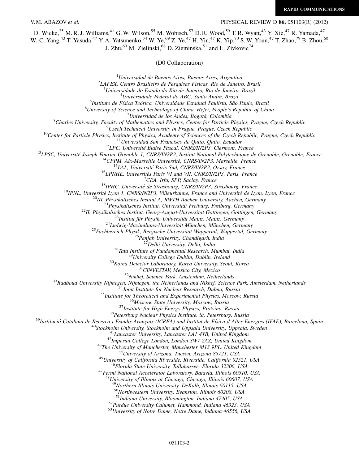V. M. ABAZOV *et al.*  $PHYSICAL REVIEW D 86, 051103(R) (2012)$ 

D. Wicke,<sup>25</sup> M. R. J. Williams,<sup>41</sup> G. W. Wilson,<sup>55</sup> M. Wobisch,<sup>57</sup> D. R. Wood,<sup>59</sup> T. R. Wyatt,<sup>43</sup> Y. Xie,<sup>47</sup> R. Yamada,<sup>47</sup> W.-C. Yang,<sup>43</sup> T. Yasuda,<sup>47</sup> Y. A. Yatsunenko,<sup>34</sup> W. Ye,<sup>69</sup> Z. Ye,<sup>47</sup> H. Yin,<sup>47</sup> K. Yip,<sup>70</sup> S. W. Youn,<sup>47</sup> T. Zhao,<sup>79</sup> B. Zhou,<sup>60</sup> J. Zhu,<sup>60</sup> M. Zielinski,<sup>68</sup> D. Zieminska,<sup>51</sup> and L. Zivkovic<sup>74</sup>

(D0 Collaboration)

<sup>1</sup>Universidad de Buenos Aires, Buenos Aires, Argentina<sup>2</sup><br><sup>2</sup>LAEEV, Centro Prasileiro de Besquisas Eísiass, Pio de Japaire  $^{2}$ LAFEX, Centro Brasileiro de Pesquisas Físicas, Rio de Janeiro, Brazil  $^{3}$ Universidade do Estado do Rio de Janeiro, Rio de Janeiro, Brazil<br><sup>4</sup>Universidade Federal do ABC, Santo André, Brazil <sup>4</sup>Universidade Federal do ABC, Santo André, Brazil<br><sup>5</sup>Instituto de Física Teórica, Universidade Estadual Paulista, São <sup>5</sup>Instituto de Física Teórica, Universidade Estadual Paulista, São Paulo, Brazil 6 University of Science and Technology of China, Hefei, People's Papublic of Chi <sup>6</sup>University of Science and Technology of China, Hefei, People's Republic of China <sup>7</sup>Universidad de los Andes, Bogotá, Colombia  $U$ niversidad de los Andes, Bogotá, Colombia<sup>8</sup>Charles University, Ecculty of Mathematics and Physics, Center for Particle Charles University, Faculty of Mathematics and Physics, Center for Particle Physics, Prague, Czech Republic<br><sup>9</sup>Czech Tachnical University in Prague, Prague, Czech Republic <sup>10</sup>Center for Particle <sup>19</sup>Center Technical University in Progress, Cacch Repubblic<br>
<sup>10</sup>Center for Technical Xan Particle of The Creck Repubblic<br>
<sup>12</sup>C. Université Jossefu Repubblic 2018 (2018)<sup>27</sup>C. Université Austral  $^{48}$ University of Illinois at Chicago, Chicago, Illinois 60607, USA <sup>49</sup>Northern Illinois University, DeKalb, Illinois 60115, USA  $50$ Northwestern University, Evanston, Illinois 60208, USA  $51$ Indiana University, Bloomington, Indiana 47405, USA  $52$ Purdue University Calumet, Hammond, Indiana 46323, USA  $53$ University of Notre Dame, Notre Dame, Indiana 46556, USA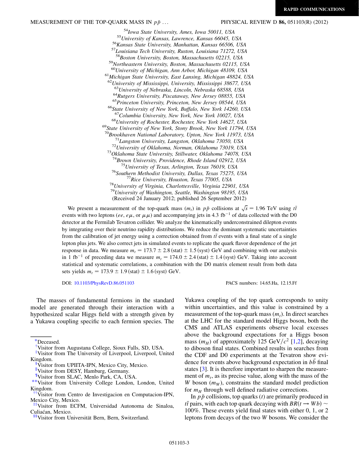<sup>54</sup>Iowa State University, Ames, Iowa 50011, USA<br><sup>55</sup>University of Kansas, Lawrence, Kansas 66045, USA<br><sup>56</sup>Kansas State University, Manhattan, Kansas 66506, USA<br><sup>57</sup>Louisiana Tech University, Ruston, Louisiana 71272, USA<br>  $59$ Northeastern University, Boston, Massachusetts 02115, USA  $59$ University of Michigan, Ann Arbor, Michigan 48109, USA  $^{61}$ Michigan State University, East Lansing, Michigan 48824, USA  $^{62}$ University of Mississippi, University, Mississippi 38677, USA<br> $^{63}$ University of Nebraska, Lincoln, Nebraska 68588, USA <sup>64</sup>Rutgers University, Piscataway, New Jersey 08855, USA<br><sup>65</sup>Princeton University, Princeton, New Jersey 08544, USA<br><sup>66</sup>State University of New York, Buffalo, New York 14260, USA<br><sup>67</sup>Columbia University, New York, New Yo <sup>68</sup>University of Rochester, Rochester, New York 14627, USA<br><sup>69</sup>State University of New York, Stony Brook, New York 11794, USA<br><sup>70</sup>Brookhaven National Laboratory, Upton, New York 11973, USA <sup>71</sup>Langston University, Langston, Oklahoma 73050, USA<br><sup>72</sup>University of Oklahoma, Norman, Oklahoma 73019, USA<br><sup>73</sup>Oklahoma State University, Stillwater, Oklahoma 74078, USA<br><sup>74</sup>Brown University, Providence, Rhode Island <sup>75</sup>University of Texas, Arlington, Texas 76019, USA<br><sup>76</sup>Southern Methodist University, Dallas, Texas 75275, USA<br><sup>77</sup>Rice University, Houston, Texas 77005, USA<br><sup>78</sup>University of Virginia, Charlottesville, Virginia 22901, <sup>79</sup>University of Washington, Seattle, Washington 98195, USA (Received 24 January 2012; published 26 September 2012)

We present a measurement of the top-quark mass  $(m_t)$  in  $p\bar{p}$  collisions at  $\sqrt{s} = 1.96$  TeV using the events with two leptons (ee, e $\mu$ , or  $\mu\mu$ ) and accompanying jets in 4.3 fb<sup>-1</sup> of data collected with the D0 detector at the Fermilab Tevatron collider. We analyze the kinematically underconstrained dilepton events by integrating over their neutrino rapidity distributions. We reduce the dominant systematic uncertainties from the calibration of jet energy using a correction obtained from  $t\bar{t}$  events with a final state of a single lepton plus jets. We also correct jets in simulated events to replicate the quark flavor dependence of the jet response in data. We measure  $m_t = 173.7 \pm 2.8$  (stat)  $\pm 1.5$  (syst) GeV and combining with our analysis in 1 fb<sup>-1</sup> of preceding data we measure  $m_t = 174.0 \pm 2.4$  (stat)  $\pm$  1.4 (syst) GeV. Taking into account statistical and systematic correlations, a combination with the D0 matrix element result from both data sets yields  $m_t = 173.9 \pm 1.9$  (stat)  $\pm 1.6$  (syst) GeV.

DOI: [10.1103/PhysRevD.86.051103](http://dx.doi.org/10.1103/PhysRevD.86.051103) PACS numbers: 14.65.Ha, 12.15.Ff

The masses of fundamental fermions in the standard model are generated through their interaction with a hypothesized scalar Higgs field with a strength given by a Yukawa coupling specific to each fermion species. The Yukawa coupling of the top quark corresponds to unity within uncertainties, and this value is constrained by a measurement of the top-quark mass  $(m_t)$ . In direct searches at the LHC for the standard model Higgs boson, both the CMS and ATLAS experiments observe local excesses above the background expectations for a Higgs boson mass  $(m_H)$  of approximately 125 GeV/ $c^2$  [[1,](#page-6-0)[2\]](#page-6-1), decaying to diboson final states. Combined results in searches from the CDF and D0 experiments at the Tevatron show evidence for events above background expectation in  $b\bar{b}$  final states [\[3\]](#page-6-2). It is therefore important to sharpen the measurement of  $m_t$ , as its precise value, along with the mass of the W boson  $(m_W)$ , constrains the standard model prediction for  $m_H$  through well defined radiative corrections.

In  $p\bar{p}$  collisions, top quarks (*t*) are primarily produced in  $t\bar{t}$  pairs, with each top quark decaying with  $BR(t \rightarrow Wb)$  ~ 100%. These events yield final states with either 0, 1, or 2 leptons from decays of the two W bosons. We consider the

<span id="page-2-4"></span>[<sup>\\*</sup>D](#page-0-0)eceased.

<span id="page-2-0"></span>[<sup>†</sup>](#page-0-1) Visitor from Augustana College, Sioux Falls, SD, USA.

<span id="page-2-1"></span>[<sup>‡</sup>](#page-0-2) Visitor from The University of Liverpool, Liverpool, United Kingdom.

<span id="page-2-2"></span>Visitor from UPIITA-IPN, Mexico City, Mexico.

<sup>&</sup>quot;Visitor from DESY, Hamburg, Germany.<br><sup>¶</sup>Visitor from SLAC. Menlo Park. CA. U!

<sup>\*\*</sup>Visitor from University College London, London, United Kingdom.

<span id="page-2-3"></span>[<sup>††</sup>V](#page-0-4)isitor from Centro de Investigacion en Computacion-IPN, Mexico City, Mexico.

<span id="page-2-5"></span>[<sup>‡‡</sup>V](#page-0-5)isitor from ECFM, Universidad Autonoma de Sinaloa, Culiaćan, Mexico.

<span id="page-2-6"></span>[<sup>§§</sup>V](#page-0-6)isitor from Universita¨t Bern, Bern, Switzerland.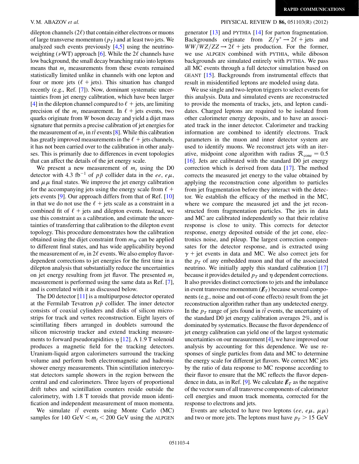dilepton channels  $(2\ell)$  that contain either electrons or muons of large transverse momentum  $(p_T)$  and at least two jets. We analyzed such events previously [\[4](#page-6-3),[5\]](#page-6-4) using the neutrinoweighting ( $\nu$ WT) approach [\[6\]](#page-6-5). While the  $2\ell$  channels have low background, the small decay branching ratio into leptons means that  $m_t$  measurements from these events remained statistically limited unlike in channels with one lepton and four or more jets ( $\ell$  + jets). This situation has changed recently (e.g., Ref. [[7\]](#page-7-0)). Now, dominant systematic uncertainties from jet energy calibration, which have been larger [\[4](#page-6-3)] in the dilepton channel compared to  $\ell$  + jets, are limiting precision of the  $m_t$  measurement. In  $\ell$  + jets events, two quarks originate from W boson decay and yield a dijet mass signature that permits a precise calibration of jet energies for the measurement of  $m_t$  in  $t\bar{t}$  events [\[8](#page-7-1)]. While this calibration has greatly improved measurements in the  $\ell$  + jets channels, it has not been carried over to the calibration in other analyses. This is primarily due to differences in event topologies that can affect the details of the jet energy scale.

We present a new measurement of  $m_t$  using the D0 detector with 4.3 fb<sup>-1</sup> of  $p\bar{p}$  collider data in the ee, e $\mu$ , and  $\mu\mu$  final states. We improve the jet energy calibration for the accompanying jets using the energy scale from  $\ell$  + jets events [[9](#page-7-2)]. Our approach differs from that of Ref. [\[10\]](#page-7-3) in that we do not use the  $\ell$  + jets scale as a constraint in a combined fit of  $\ell$  + jets and dilepton events. Instead, we use this constraint as a calibration, and estimate the uncertainties of transferring that calibration to the dilepton event topology. This procedure demonstrates how the calibration obtained using the dijet constraint from  $m<sub>W</sub>$  can be applied to different final states, and has wide applicability beyond the measurement of  $m_t$  in 2 $\ell$  events. We also employ flavordependent corrections to jet energies for the first time in a dilepton analysis that substantially reduce the uncertainties on jet energy resulting from jet flavor. The presented  $m_t$ measurement is performed using the same data as Ref. [[7\]](#page-7-0), and is correlated with it as discussed below.

The D0 detector [\[11\]](#page-7-4) is a multipurpose detector operated at the Fermilab Tevatron  $p\bar{p}$  collider. The inner detector consists of coaxial cylinders and disks of silicon microstrips for track and vertex reconstruction. Eight layers of scintillating fibers arranged in doublets surround the silicon microstrip tracker and extend tracking measurements to forward pseudorapidities  $\eta$  [[12](#page-7-5)]. A 1.9 T solenoid produces a magnetic field for the tracking detectors. Uranium-liquid argon calorimeters surround the tracking volume and perform both electromagnetic and hadronic shower energy measurements. Thin scintillation intercryostat detectors sample showers in the region between the central and end calorimeters. Three layers of proportional drift tubes and scintillation counters reside outside the calorimetry, with 1.8 T toroids that provide muon identification and independent measurement of muon momenta.

We simulate  $t\bar{t}$  events using Monte Carlo (MC) samples for 140 GeV  $\leq m_t < 200$  GeV using the ALPGEN

### V. M. ABAZOV et al. PHYSICAL REVIEW D 86, 051103(R) (2012)

generator [[13](#page-7-6)] and PYTHIA [\[14\]](#page-7-7) for parton fragmentation. Backgrounds originate from  $Z/\gamma^* \rightarrow 2\ell$  + jets and  $WW/WZ/ZZ \rightarrow 2\ell$  + jets production. For the former, we use ALPGEN combined with PYTHIA, while diboson backgrounds are simulated entirely with PYTHIA. We pass all MC events through a full detector simulation based on GEANT [[15](#page-7-8)]. Backgrounds from instrumental effects that result in misidentified leptons are modeled using data.

We use single and two-lepton triggers to select events for this analysis. Data and simulated events are reconstructed to provide the momenta of tracks, jets, and lepton candidates. Charged leptons are required to be isolated from other calorimeter energy deposits, and to have an associated track in the inner detector. Calorimeter and tracking information are combined to identify electrons. Track parameters in the muon and inner detector system are used to identify muons. We reconstruct jets with an iterative, midpoint cone algorithm with radius  $R_{\text{cone}} = 0.5$ [\[16\]](#page-7-9). Jets are calibrated with the standard D0 jet energy correction which is derived from data [\[17\]](#page-7-10). The method corrects the measured jet energy to the value obtained by applying the reconstruction cone algorithm to particles from jet fragmentation before they interact with the detector. We establish the efficacy of the method in the MC, where we compare the measured jet and the jet reconstructed from fragmentation particles. The jets in data and MC are calibrated independently so that their relative response is close to unity. This corrects for detector response, energy deposited outside of the jet cone, electronics noise, and pileup. The largest correction compensates for the detector response, and is extracted using  $\gamma$  + jet events in data and MC. We also correct jets for the  $p_T$  of any embedded muon and that of the associated neutrino. We initially apply this standard calibration [\[17\]](#page-7-10) because it provides detailed  $p_T$  and  $\eta$  dependent corrections. It also provides distinct corrections to jets and the imbalance in event transverse momentum  $(\not{E}_T)$  because several components (e.g., noise and out-of-cone effects) result from the jet reconstruction algorithm rather than any undetected energy. In the  $p_T$  range of jets found in  $t\bar{t}$  events, the uncertainty of the standard D0 jet energy calibration averages 2%, and is dominated by systematics. Because the flavor dependence of jet energy calibration can yield one of the largest systematic uncertainties on our measurement [\[4](#page-6-3)], we have improved our analysis by accounting for this dependence. We use responses of single particles from data and MC to determine the energy scale for different jet flavors. We correct MC jets by the ratio of data response to MC response according to their flavor to ensure that the MC reflects the flavor depen-dence in data, as in Ref. [[9\]](#page-7-2). We calculate  $E_T$  as the negative of the vector sum of all transverse components of calorimeter cell energies and muon track momenta, corrected for the response to electrons and jets.

Events are selected to have two leptons (ee,  $e\mu$ ,  $\mu\mu$ ) and two or more jets. The leptons must have  $p_T > 15 \text{ GeV}$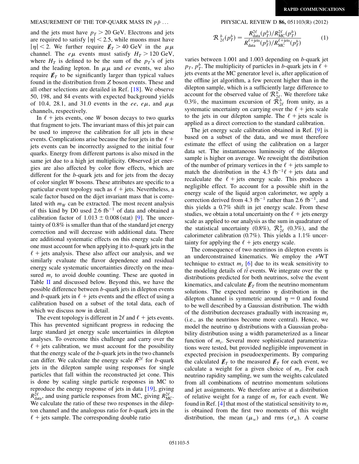## MEASUREMENT OF THE TOP-QUARK MASS IN  $p\bar{p}$  ... PHYSICAL REVIEW D 86, 051103(R) (2012)

and the jets must have  $p_T > 20$  GeV. Electrons and jets are required to satisfy  $|\eta|$  < 2.5, while muons must have  $|\eta|$  < 2. We further require  $E_T > 40$  GeV in the  $\mu\mu$ channel. The  $e\mu$  events must satisfy  $H_T > 120$  GeV, where  $H_T$  is defined to be the sum of the  $p_T$ 's of jets and the leading lepton. In  $\mu\mu$  and ee events, we also require  $E_T$  to be significantly larger than typical values found in the distribution from Z boson events. These and all other selections are detailed in Ref. [[18](#page-7-11)]. We observe 50, 198, and 84 events with expected background yields of 10.4, 28.1, and 31.0 events in the ee, e $\mu$ , and  $\mu\mu$ channels, respectively.

In  $\ell$  + jets events, one W boson decays to two quarks that fragment to jets. The invariant mass of this jet pair can be used to improve the calibration for all jets in these events. Complications arise because the four jets in the  $\ell +$ jets events can be incorrectly assigned to the initial four quarks. Energy from different partons is also mixed in the same jet due to a high jet multiplicity. Observed jet energies are also affected by color flow effects, which are different for the b-quark jets and for jets from the decay of color singlet W bosons. These attributes are specific to a particular event topology such as  $\ell$  + jets. Nevertheless, a scale factor based on the dijet invariant mass that is correlated with  $m<sub>W</sub>$  can be extracted. The most recent analysis of this kind by D0 used 2.6  $fb^{-1}$  of data and obtained a calibration factor of  $1.013 \pm 0.008$  (stat) [\[9](#page-7-2)]. The uncertainty of 0.8% is smaller than that of the standard jet energy correction and will decrease with additional data. There are additional systematic effects on this energy scale that one must account for when applying it to b-quark jets in the  $\ell$  + jets analysis. These also affect our analysis, and we similarly evaluate the flavor dependence and residual energy scale systematic uncertainties directly on the measured  $m_t$  to avoid double counting. These are quoted in Table [II](#page-6-6) and discussed below. Beyond this, we have the possible difference between b-quark jets in dilepton events and b-quark jets in  $\ell$  + jets events and the effect of using a calibration based on a subset of the total data, each of which we discuss now in detail.

The event topology is different in  $2\ell$  and  $\ell$  + jets events. This has prevented significant progress in reducing the large standard jet energy scale uncertainties in dilepton analyses. To overcome this challenge and carry over the  $\ell$  + jets calibration, we must account for the possibility that the energy scale of the  $b$ -quark jets in the two channels can differ. We calculate the energy scale  $R^{2\ell}$  for b-quark jets in the dilepton sample using responses for single particles that fall within the reconstructed jet cone. This is done by scaling single particle responses in MC to reproduce the energy response of jets in data [[19](#page-7-12)], giving  $R_{\text{data}}^{2\ell}$ , and using particle responses from MC, giving  $R_{\text{MC}}^{2\ell}$ . We calculate the ratio of these two responses in the dilepton channel and the analogous ratio for b-quark jets in the  $\ell$  + jets sample. The corresponding double ratio

$$
\mathcal{R}_{2\ell}^{b}(p_{T}^{b}) = \frac{R_{\text{data}}^{2\ell}(p_{T}^{b})/R_{\text{MC}}^{2\ell}(p_{T}^{b})}{R_{\text{data}}^{\ell+{\text{jets}}}(p_{T}^{b})/R_{\text{MC}}^{\ell+{\text{jets}}}(p_{T}^{b})}
$$
(1)

varies between 1.001 and 1.003 depending on b-quark jet  $p_T$ ,  $p_T^b$ . The multiplicity of particles in b-quark jets in  $\ell$  + jets events at the MC generator level is, after application of the offline jet algorithm, a few percent higher than in the dilepton sample, which is a sufficiently large difference to account for the observed value of  $\mathcal{R}_{2\ell}^b$ . We therefore take 0.3%, the maximum excursion of  $\mathcal{R}_{2\ell}^b$  from unity, as a systematic uncertainty on carrying over the  $\ell$  + jets scale to the jets in our dilepton sample. The  $\ell$  + jets scale is applied as a direct correction to the standard calibration.

The jet energy scale calibration obtained in Ref. [[9](#page-7-2)] is based on a subset of the data, and we must therefore estimate the effect of using the calibration on a larger data set. The instantaneous luminosity of the dilepton sample is higher on average. We reweight the distribution of the number of primary vertices in the  $\ell$  + jets sample to match the distribution in the 4.3 fb<sup>-1</sup> $\ell$  + jets data and recalculate the  $\ell$  + jets energy scale. This produces a negligible effect. To account for a possible shift in the energy scale of the liquid argon calorimeter, we apply a correction derived from 4.3 fb<sup>-1</sup> rather than 2.6 fb<sup>-1</sup>, and this yields a 0.7% shift in jet energy scale. From these studies, we obtain a total uncertainty on the  $\ell$  + jets energy scale as applied to our analysis as the sum in quadrature of the statistical uncertainty (0.8%),  $\mathcal{R}_{2\ell}^b$  (0.3%), and the calorimeter calibration (0.7%). This yields a 1.1% uncertainty for applying the  $\ell$  + jets energy scale.

The consequence of two neutrinos in dilepton events is an underconstrained kinematics. We employ the  $\nu$ WT technique to extract  $m_t$  [\[6](#page-6-5)] due to its weak sensitivity to the modeling details of  $t\bar{t}$  events. We integrate over the  $\eta$ distributions predicted for both neutrinos, solve the event kinematics, and calculate  $\not\hspace{-.15cm}/\,^{\mathcal{F}}$  from the neutrino momentum solutions. The expected neutrino  $\eta$  distribution in the dilepton channel is symmetric around  $\eta = 0$  and found to be well described by a Gaussian distribution. The width of the distribution decreases gradually with increasing  $m_t$ (i.e., as the neutrinos become more central). Hence, we model the neutrino  $\eta$  distributions with a Gaussian probability distribution using a width parameterized as a linear function of  $m_t$ . Several more sophisticated parametrizations were tested, but provided negligible improvement in expected precision in pseudoexperiments. By comparing the calculated  $\not{\!\mathbf{E}}_T$  to the measured  $\not{\!\mathbf{E}}_T$  for each event, we calculate a weight for a given choice of  $m_t$ . For each neutrino rapidity sampling, we sum the weights calculated from all combinations of neutrino momentum solutions and jet assignments. We therefore arrive at a distribution of relative weight for a range of  $m_t$  for each event. We found in Ref. [\[4](#page-6-3)] that most of the statistical sensitivity to  $m_t$ is obtained from the first two moments of this weight distribution, the mean  $(\mu_w)$  and rms  $(\sigma_w)$ . A coarse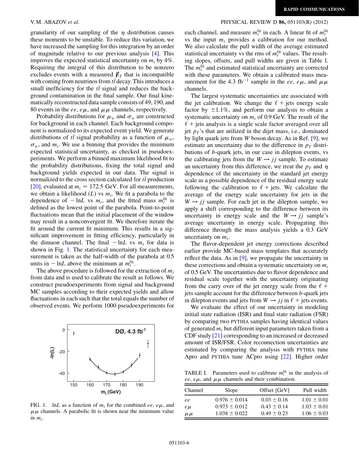granularity of our sampling of the  $\eta$  distribution causes these moments to be unstable. To reduce this variation, we have increased the sampling for this integration by an order of magnitude relative to our previous analysis [[4\]](#page-6-3). This improves the expected statistical uncertainty on  $m_t$  by 4%. Requiring the integral of this distribution to be nonzero excludes events with a measured  $\not\!\vec{E}_T$  that is incompatible with coming from neutrinos from  $t\bar{t}$  decay. This introduces a small inefficiency for the  $t\bar{t}$  signal and reduces the background contamination in the final sample. Our final kinematically reconstructed data sample consists of 49, 190, and 80 events in the ee,  $e\mu$ , and  $\mu\mu$  channels, respectively.

Probability distributions for  $\mu_w$  and  $\sigma_w$  are constructed for background in each channel. Each background component is normalized to its expected event yield. We generate distributions of  $t\bar{t}$  signal probability as a function of  $\mu_w$ ,  $\sigma_w$ , and  $m_t$ . We use a binning that provides the minimum expected statistical uncertainty, as checked in pseudoexperiments. We perform a binned maximum likelihood fit to the probability distributions, fixing the total signal and background yields expected in our data. The signal is normalized to the cross section calculated for  $t\bar{t}$  production [\[20\]](#page-7-13), evaluated at  $m_t = 172.5$  GeV. For all measurements, we obtain a likelihood  $(L)$  vs  $m_t$ . We fit a parabola to the dependence of  $-\ln L$  vs  $m_t$ , and the fitted mass  $m_t^{\text{fit}}$  is defined as the lowest point of the parabola. Point-to-point fluctuations mean that the initial placement of the window may result in a nonconvergent fit. We therefore iterate the fit around the current fit minimum. This results in a significant improvement in fitting efficiency, particularly in the dimuon channel. The final  $-\ln L$  vs  $m_t$  for data is shown in Fig. [1.](#page-5-0) The statistical uncertainty for each measurement is taken as the half-width of the parabola at 0.5 units in  $-\ln L$  above the minimum at  $m_t^{\text{fit}}$ .

The above procedure is followed for the extraction of  $m_t$ from data and is used to calibrate the result as follows. We construct pseudoexperiments from signal and background MC samples according to their expected yields and allow fluctuations in each such that the total equals the number of observed events. We perform 1000 pseudoexperiments for

<span id="page-5-0"></span>

FIG. 1. lnL as a function of  $m_t$  for the combined ee, e $\mu$ , and  $\mu\mu$  channels. A parabolic fit is shown near the minimum value in  $m_t$ .

#### V. M. ABAZOV et al. **PHYSICAL REVIEW D 86, 051103(R)** (2012)

each channel, and measure  $m_t^{\text{fit}}$  in each. A linear fit of  $m_t^{\text{fit}}$ vs the input  $m_t$  provides a calibration for our method. We also calculate the pull width of the average estimated statistical uncertainty vs the rms of  $m_t^{\text{fit}}$  values. The resulting slopes, offsets, and pull widths are given in Table [I](#page-5-1). The  $m_t^{\text{fit}}$  and estimated statistical uncertainty are corrected with these parameters. We obtain a calibrated mass measurement for the 4.3 fb<sup>-1</sup> sample in the ee, e $\mu$ , and  $\mu\mu$ channels.

The largest systematic uncertainties are associated with the jet calibration. We change the  $\ell$  + jets energy scale factor by  $\pm 1.1\%$ , and perform our analysis to obtain a systematic uncertainty on  $m<sub>t</sub>$  of 0.9 GeV. The result of the  $\ell$  + jets analysis is a single scale factor averaged over all jet  $p_T$ 's that are utilized in the dijet mass, i.e., dominated by light quark jets from W boson decay. As in Ref. [[9](#page-7-2)], we estimate an uncertainty due to the difference in  $p<sub>T</sub>$  distributions of b-quark jets, in our case in dilepton events, vs the calibrating jets from the  $W \rightarrow jj$  sample. To estimate an uncertainty from this difference, we treat the  $p_T$  and  $\eta$ dependence of the uncertainty in the standard jet energy scale as a possible dependence of the residual energy scale following the calibration to  $\ell$  + jets. We calculate the average of the energy scale uncertainty for jets in the  $W \rightarrow i j$  sample. For each jet in the dilepton sample, we apply a shift corresponding to the difference between its uncertainty in energy scale and the  $W \rightarrow jj$  sample's average uncertainty in energy scale. Propagating this difference through the mass analysis yields a 0.3 GeV uncertainty on  $m_t$ .

The flavor-dependent jet energy corrections described earlier provide MC-based mass templates that accurately reflect the data. As in [\[9](#page-7-2)], we propagate the uncertainty in these corrections and obtain a systematic uncertainty on  $m_t$ of 0.5 GeV. The uncertainties due to flavor dependence and residual scale together with the uncertainty originating from the carry over of the jet energy scale from the  $\ell$  + jets sample account for the difference between b-quark jets in dilepton events and jets from  $W \rightarrow jj$  in  $\ell$  + jets events.

We evaluate the effect of our uncertainty in modeling initial state radiation (ISR) and final state radiation (FSR) by comparing two PYTHIA samples having identical values of generated  $m_t$  but different input parameters taken from a CDF study [[21](#page-7-14)] corresponding to an increased or decreased amount of ISR/FSR. Color reconnection uncertainties are estimated by comparing the analysis with PYTHIA tune Apro and PYTHIA tune ACpro using [[22](#page-7-15)]. Higher order

<span id="page-5-1"></span>TABLE I. Parameters used to calibrate  $m_t^{\text{fit}}$  in the analysis of ee,  $e\mu$ , and  $\mu\mu$  channels and their combination.

| Channel   | Slope             | Offset [GeV]    | Pull width      |
|-----------|-------------------|-----------------|-----------------|
| ee        | $0.976 \pm 0.014$ | $0.03 \pm 0.16$ | $1.01 \pm 0.01$ |
| $e\mu$    | $0.973 \pm 0.012$ | $0.43 \pm 0.14$ | $1.03 \pm 0.01$ |
| $\mu \mu$ | $1.038 \pm 0.022$ | $0.49 \pm 0.23$ | $1.06 \pm 0.03$ |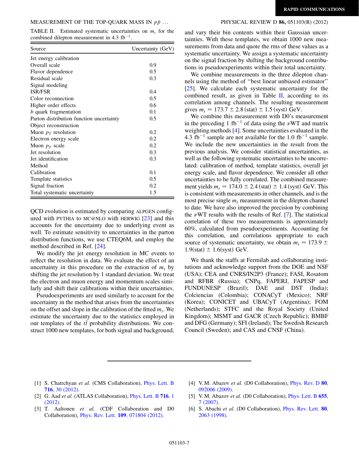<span id="page-6-6"></span>TABLE II. Estimated systematic uncertainties on  $m_t$  for the combined dilepton measurement in  $4.3 \text{ fb}^{-1}$ .

| Source                                   | Uncertainty (GeV) |
|------------------------------------------|-------------------|
| Jet energy calibration                   |                   |
| Overall scale                            | 0.9               |
| Flavor dependence                        | 0.5               |
| Residual scale                           | 0.3               |
| Signal modeling                          |                   |
| <b>ISR/FSR</b>                           | 0.4               |
| Color reconnection                       | 0.5               |
| Higher order effects                     | 0.6               |
| b quark fragmentation                    | 0.1               |
| Parton distribution function uncertainty | 0.5               |
| Object reconstruction                    |                   |
| Muon $p_T$ resolution                    | 0.2               |
| Electron energy scale                    | 0.2               |
| Muon $p_T$ scale                         | 0.2               |
| Jet resolution                           | 0.3               |
| Jet identification                       | 0.3               |
| Method                                   |                   |
| Calibration                              | 0.1               |
| Template statistics                      | 0.5               |
| Signal fraction                          | 0.2               |
| Total systematic uncertainty             | 1.5               |

QCD evolution is estimated by comparing ALPGEN configured with PYTHIA to MC@NLO with HERWIG [[23](#page-7-16)] and this accounts for the uncertainty due to underlying event as well. To estimate sensitivity to uncertainties in the parton distribution functions, we use CTEQ6M, and employ the method described in Ref. [\[24\]](#page-7-17).

We modify the jet energy resolution in MC events to reflect the resolution in data. We evaluate the effect of an uncertainty in this procedure on the extraction of  $m_t$  by shifting the jet resolution by 1 standard deviation. We treat the electron and muon energy and momentum scales similarly and shift their calibrations within their uncertainties.

Pseudoexperiments are used similarly to account for the uncertainty in the method that arises from the uncertainties on the offset and slope in the calibration of the fitted  $m_t$ . We estimate the uncertainty due to the statistics employed in our templates of the  $t\bar{t}$  probability distributions. We construct 1000 new templates, for both signal and background,

and vary their bin contents within their Gaussian uncertainties. With these templates, we obtain 1000 new measurements from data and quote the rms of these values as a systematic uncertainty. We assign a systematic uncertainty on the signal fraction by shifting the background contributions in pseudoexperiments within their total uncertainty.

We combine measurements in the three dilepton channels using the method of ''best linear unbiased estimator'' [\[25\]](#page-7-18). We calculate each systematic uncertainty for the combined result, as given in Table [II,](#page-6-6) according to its correlation among channels. The resulting measurement gives  $m_t = 173.7 \pm 2.8$  (stat)  $\pm 1.5$  (syst) GeV.

We combine this measurement with D0's measurement in the preceding 1 fb<sup>-1</sup> of data using the  $\nu$ WT and matrix weighting methods [[4](#page-6-3)]. Some uncertainties evaluated in the 4.3 fb<sup>-1</sup> sample are not available for the 1.0 fb<sup>-1</sup> sample. We include the new uncertainties in the result from the previous analysis. We consider statistical uncertainties, as well as the following systematic uncertainties to be uncorrelated: calibration of method, template statistics, overall jet energy scale, and flavor dependence. We consider all other uncertainties to be fully correlated. The combined measurement yields  $m_t = 174.0 \pm 2.4$  (stat)  $\pm 1.4$  (syst) GeV. This is consistent with measurements in other channels, and is the most precise single  $m_t$  measurement in the dilepton channel to date. We have also improved the precision by combining the  $\nu$ WT results with the results of Ref. [\[7](#page-7-0)]. The statistical correlation of these two measurements is approximately 60%, calculated from pseudoexperiments. Accounting for this correlation, and correlations appropriate to each source of systematic uncertainty, we obtain  $m_t = 173.9 \pm$  $1.9$ (stat)  $\pm 1.6$ (syst) GeV.

We thank the staffs at Fermilab and collaborating institutions and acknowledge support from the DOE and NSF (USA); CEA and CNRS/IN2P3 (France); FASI, Rosatom and RFBR (Russia); CNPq, FAPERJ, FAPESP and FUNDUNESP (Brazil); DAE and DST (India); Colciencias (Colombia); CONACyT (Mexico); NRF (Korea); CONICET and UBACyT (Argentina); FOM (Netherlands); STFC and the Royal Society (United Kingdom); MSMT and GACR (Czech Republic); BMBF and DFG (Germany); SFI (Ireland); The Swedish Research Council (Sweden); and CAS and CNSF (China).

- <span id="page-6-1"></span><span id="page-6-0"></span>[1] S. Chatrchyan et al. (CMS Collaboration), *[Phys. Lett. B](http://dx.doi.org/10.1016/j.physletb.2012.08.021)* 716[, 30 \(2012\)](http://dx.doi.org/10.1016/j.physletb.2012.08.021).
- <span id="page-6-2"></span>[2] G. Aad et al. (ATLAS Collaboration), [Phys. Lett. B](http://dx.doi.org/10.1016/j.physletb.2012.08.020) 716, 1 [\(2012\)](http://dx.doi.org/10.1016/j.physletb.2012.08.020).
- [3] T. Aaltonen et al. (CDF Collaboration and D0 Collaboration), Phys. Rev. Lett. 109[, 071804 \(2012\)](http://dx.doi.org/10.1103/PhysRevLett.109.071804).
- <span id="page-6-4"></span><span id="page-6-3"></span>[4] V.M. Abazov et al. (D0 Collaboration), *[Phys. Rev. D](http://dx.doi.org/10.1103/PhysRevD.80.092006)* 80, [092006 \(2009\).](http://dx.doi.org/10.1103/PhysRevD.80.092006)
- <span id="page-6-5"></span>[5] V. M. Abazov et al. (D0 Collaboration), *[Phys. Lett. B](http://dx.doi.org/10.1016/j.physletb.2007.08.074)* 655, [7 \(2007\).](http://dx.doi.org/10.1016/j.physletb.2007.08.074)
- [6] S. Abachi et al. (D0 Collaboration), [Phys. Rev. Lett.](http://dx.doi.org/10.1103/PhysRevLett.80.2063) 80, [2063 \(1998\)](http://dx.doi.org/10.1103/PhysRevLett.80.2063).